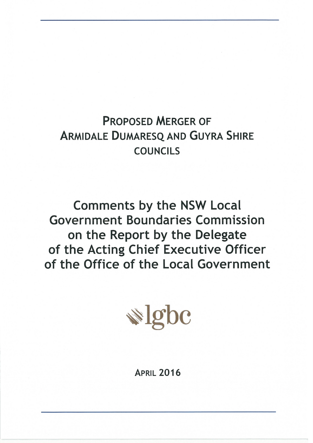# **PROPOSED MERGER OF ARMIDALE DUMARESQ AND GUYRA SHIRE COUNCILS**

**Comments by the NSW Local Government Boundaries Commission** on the Report by the Delegate of the Acting Chief Executive Officer of the Office of the Local Government



**APRIL 2016**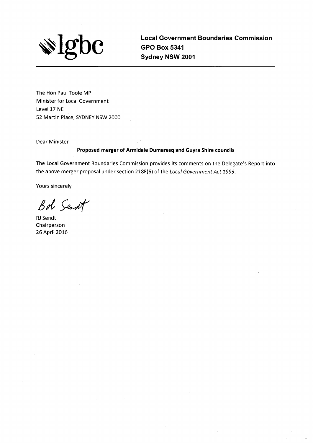

**Local Government Boundaries Commission GPO Box 5341** Sydney NSW 2001

The Hon Paul Toole MP Minister for Local Government Level 17 NE 52 Martin Place, SYDNEY NSW 2000

Dear Minister

#### Proposed merger of Armidale Dumaresq and Guyra Shire councils

The Local Government Boundaries Commission provides its comments on the Delegate's Report into the above merger proposal under section 218F(6) of the Local Government Act 1993.

**Yours sincerely** 

Bot Sent

**RJ** Sendt Chairperson 26 April 2016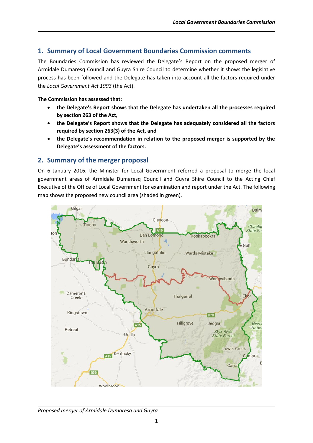# **1. Summary of Local Government Boundaries Commission comments**

The Boundaries Commission has reviewed the Delegate's Report on the proposed merger of Armidale Dumaresq Council and Guyra Shire Council to determine whether it shows the legislative process has been followed and the Delegate has taken into account all the factors required under the *Local Government Act 1993* (the Act).

#### **The Commission has assessed that:**

- **the Delegate's Report shows that the Delegate has undertaken all the processes required by section 263 of the Act***,*
- **the Delegate's Report shows that the Delegate has adequately considered all the factors required by section 263(3) of the Act, and**
- **the Delegate's recommendation in relation to the proposed merger is supported by the Delegate's assessment of the factors.**

# **2. Summary of the merger proposal**

On 6 January 2016, the Minister for Local Government referred a proposal to merge the local government areas of Armidale Dumaresq Council and Guyra Shire Council to the Acting Chief Executive of the Office of Local Government for examination and report under the Act. The following map shows the proposed new council area (shaded in green).

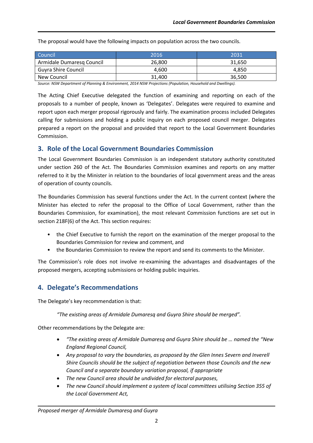The proposal would have the following impacts on population across the two councils.

| Council                    | 2016   | 2031   |
|----------------------------|--------|--------|
| Armidale Dumaresq Council  | 26,800 | 31.650 |
| <b>Guyra Shire Council</b> | 4.600  | 4.850  |
| New Council                | 31.400 | 36,500 |

*Source: NSW Department of Planning & Environment, 2014 NSW Projections (Population, Household and Dwellings).*

The Acting Chief Executive delegated the function of examining and reporting on each of the proposals to a number of people, known as 'Delegates'. Delegates were required to examine and report upon each merger proposal rigorously and fairly. The examination process included Delegates calling for submissions and holding a public inquiry on each proposed council merger. Delegates prepared a report on the proposal and provided that report to the Local Government Boundaries Commission.

## **3. Role of the Local Government Boundaries Commission**

The Local Government Boundaries Commission is an independent statutory authority constituted under section 260 of the Act. The Boundaries Commission examines and reports on any matter referred to it by the Minister in relation to the boundaries of local government areas and the areas of operation of county councils.

The Boundaries Commission has several functions under the Act. In the current context (where the Minister has elected to refer the proposal to the Office of Local Government, rather than the Boundaries Commission, for examination), the most relevant Commission functions are set out in section 218F(6) of the Act. This section requires:

- the Chief Executive to furnish the report on the examination of the merger proposal to the Boundaries Commission for review and comment, and
- the Boundaries Commission to review the report and send its comments to the Minister.

The Commission's role does not involve re-examining the advantages and disadvantages of the proposed mergers, accepting submissions or holding public inquiries.

# **4. Delegate's Recommendations**

The Delegate's key recommendation is that:

*"The existing areas of Armidale Dumaresq and Guyra Shire should be merged".*

Other recommendations by the Delegate are:

- *"The existing areas of Armidale Dumaresq and Guyra Shire should be … named the "New England Regional Council,*
- *Any proposal to vary the boundaries, as proposed by the Glen Innes Severn and Inverell Shire Councils should be the subject of negotiation between those Councils and the new Council and a separate boundary variation proposal, if appropriate*
- *The new Council area should be undivided for electoral purposes,*
- *The new Council should implement a system of local committees utilising Section 355 of the Local Government Act,*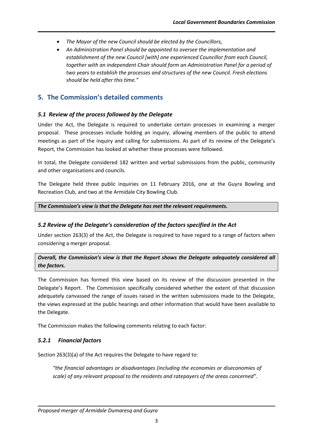- *The Mayor of the new Council should be elected by the Councillors,*
- *An Administration Panel should be appointed to oversee the implementation and establishment of the new Council [with] one experienced Councillor from each Council, together with an independent Chair should form an Administration Panel for a period of two years to establish the processes and structures of the new Council. Fresh elections should be held after this time."*

# **5. The Commission's detailed comments**

#### *5.1 Review of the process followed by the Delegate*

Under the Act, the Delegate is required to undertake certain processes in examining a merger proposal. These processes include holding an inquiry, allowing members of the public to attend meetings as part of the inquiry and calling for submissions. As part of its review of the Delegate's Report, the Commission has looked at whether these processes were followed.

In total, the Delegate considered 182 written and verbal submissions from the public, community and other organisations and councils.

The Delegate held three public inquiries on 11 February 2016, one at the Guyra Bowling and Recreation Club, and two at the Armidale City Bowling Club.

#### *The Commission's view is that the Delegate has met the relevant requirements.*

#### *5.2 Review of the Delegate's consideration of the factors specified in the Act*

Under section 263(3) of the Act, the Delegate is required to have regard to a range of factors when considering a merger proposal.

*Overall, the Commission's view is that the Report shows the Delegate adequately considered all the factors.*

The Commission has formed this view based on its review of the discussion presented in the Delegate's Report. The Commission specifically considered whether the extent of that discussion adequately canvassed the range of issues raised in the written submissions made to the Delegate, the views expressed at the public hearings and other information that would have been available to the Delegate.

The Commission makes the following comments relating to each factor:

#### *5.2.1 Financial factors*

Section 263(3)(a) of the Act requires the Delegate to have regard to:

*"the financial advantages or disadvantages (including the economies or diseconomies of scale) of any relevant proposal to the residents and ratepayers of the areas concerned".*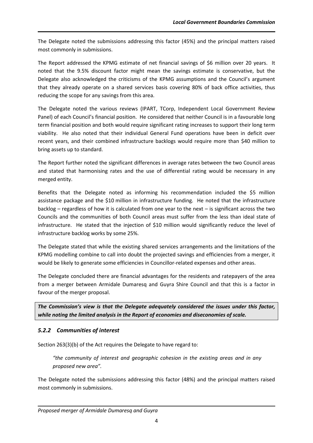The Delegate noted the submissions addressing this factor (45%) and the principal matters raised most commonly in submissions.

The Report addressed the KPMG estimate of net financial savings of \$6 million over 20 years. It noted that the 9.5% discount factor might mean the savings estimate is conservative, but the Delegate also acknowledged the criticisms of the KPMG assumptions and the Council's argument that they already operate on a shared services basis covering 80% of back office activities, thus reducing the scope for any savings from this area.

The Delegate noted the various reviews (IPART, TCorp, Independent Local Government Review Panel) of each Council's financial position. He considered that neither Council is in a favourable long term financial position and both would require significant rating increases to support their long term viability. He also noted that their individual General Fund operations have been in deficit over recent years, and their combined infrastructure backlogs would require more than \$40 million to bring assets up to standard.

The Report further noted the significant differences in average rates between the two Council areas and stated that harmonising rates and the use of differential rating would be necessary in any merged entity.

Benefits that the Delegate noted as informing his recommendation included the \$5 million assistance package and the \$10 million in infrastructure funding. He noted that the infrastructure backlog – regardless of how it is calculated from one year to the next – is significant across the two Councils and the communities of both Council areas must suffer from the less than ideal state of infrastructure. He stated that the injection of \$10 million would significantly reduce the level of infrastructure backlog works by some 25%.

The Delegate stated that while the existing shared services arrangements and the limitations of the KPMG modelling combine to call into doubt the projected savings and efficiencies from a merger, it would be likely to generate some efficiencies in Councillor-related expenses and other areas.

The Delegate concluded there are financial advantages for the residents and ratepayers of the area from a merger between Armidale Dumaresq and Guyra Shire Council and that this is a factor in favour of the merger proposal.

*The Commission's view is that the Delegate adequately considered the issues under this factor, while noting the limited analysis in the Report of economies and diseconomies of scale.*

## *5.2.2 Communities of interest*

Section 263(3)(b) of the Act requires the Delegate to have regard to:

*"the community of interest and geographic cohesion in the existing areas and in any proposed new area".*

The Delegate noted the submissions addressing this factor (48%) and the principal matters raised most commonly in submissions.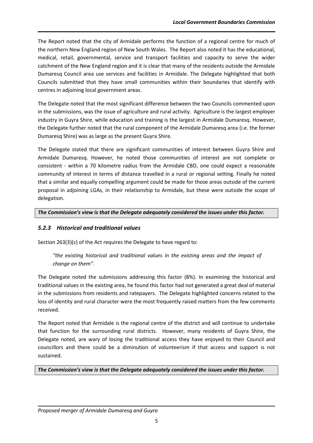The Report noted that the city of Armidale performs the function of a regional centre for much of the northern New England region of New South Wales. The Report also noted it has the educational, medical, retail, governmental, service and transport facilities and capacity to serve the wider catchment of the New England region and it is clear that many of the residents outside the Armidale Dumaresq Council area use services and facilities in Armidale. The Delegate highlighted that both Councils submitted that they have small communities within their boundaries that identify with centres in adjoining local government areas.

The Delegate noted that the most significant difference between the two Councils commented upon in the submissions, was the issue of agriculture and rural activity. Agriculture is the largest employer industry in Guyra Shire, while education and training is the largest in Armidale Dumaresq. However, the Delegate further noted that the rural component of the Armidale Dumaresq area (i.e. the former Dumaresq Shire) was as large as the present Guyra Shire.

The Delegate stated that there are significant communities of interest between Guyra Shire and Armidale Dumaresq. However, he noted those communities of interest are not complete or consistent - within a 70 kilometre radius from the Armidale CBD, one could expect a reasonable community of interest in terms of distance travelled in a rural or regional setting. Finally he noted that a similar and equally compelling argument could be made for those areas outside of the current proposal in adjoining LGAs, in their relationship to Armidale, but these were outside the scope of delegation.

*The Commission's view is that the Delegate adequately considered the issues under this factor.* 

## *5.2.3 Historical and traditional values*

Section 263(3)(c) of the Act requires the Delegate to have regard to:

*"the existing historical and traditional values in the existing areas and the impact of change on them".*

The Delegate noted the submissions addressing this factor (8%). In examining the historical and traditional values in the existing area, he found this factor had not generated a great deal of material in the submissions from residents and ratepayers. The Delegate highlighted concerns related to the loss of identity and rural character were the most frequently raised matters from the few comments received.

The Report noted that Armidale is the regional centre of the district and will continue to undertake that function for the surrounding rural districts. However, many residents of Guyra Shire, the Delegate noted, are wary of losing the traditional access they have enjoyed to their Council and councillors and there could be a diminution of volunteerism if that access and support is not sustained.

*The Commission's view is that the Delegate adequately considered the issues under this factor.*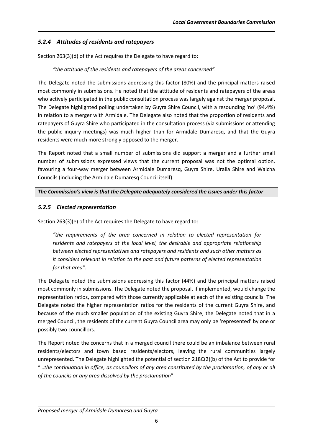# *5.2.4 Attitudes of residents and ratepayers*

Section 263(3)(d) of the Act requires the Delegate to have regard to:

## *"the attitude of the residents and ratepayers of the areas concerned".*

The Delegate noted the submissions addressing this factor (80%) and the principal matters raised most commonly in submissions. He noted that the attitude of residents and ratepayers of the areas who actively participated in the public consultation process was largely against the merger proposal. The Delegate highlighted polling undertaken by Guyra Shire Council, with a resounding 'no' (94.4%) in relation to a merger with Armidale. The Delegate also noted that the proportion of residents and ratepayers of Guyra Shire who participated in the consultation process (via submissions or attending the public inquiry meetings) was much higher than for Armidale Dumaresq, and that the Guyra residents were much more strongly opposed to the merger.

The Report noted that a small number of submissions did support a merger and a further small number of submissions expressed views that the current proposal was not the optimal option, favouring a four-way merger between Armidale Dumaresq, Guyra Shire, Uralla Shire and Walcha Councils (including the Armidale Dumaresq Council itself).

## *The Commission's view is that the Delegate adequately considered the issues under this factor*

## *5.2.5 Elected representation*

Section 263(3)(e) of the Act requires the Delegate to have regard to:

*"the requirements of the area concerned in relation to elected representation for residents and ratepayers at the local level, the desirable and appropriate relationship between elected representatives and ratepayers and residents and such other matters as it considers relevant in relation to the past and future patterns of elected representation for that area".*

The Delegate noted the submissions addressing this factor (44%) and the principal matters raised most commonly in submissions. The Delegate noted the proposal, if implemented, would change the representation ratios, compared with those currently applicable at each of the existing councils. The Delegate noted the higher representation ratios for the residents of the current Guyra Shire, and because of the much smaller population of the existing Guyra Shire, the Delegate noted that in a merged Council, the residents of the current Guyra Council area may only be 'represented' by one or possibly two councillors.

The Report noted the concerns that in a merged council there could be an imbalance between rural residents/electors and town based residents/electors, leaving the rural communities largely unrepresented. The Delegate highlighted the potential of section 218C(2)(b) of the Act to provide for "…*the continuation in office, as councillors of any area constituted by the proclamation, of any or all of the councils or any area dissolved by the proclamation*".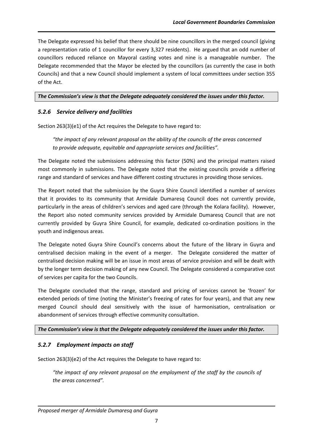The Delegate expressed his belief that there should be nine councillors in the merged council (giving a representation ratio of 1 councillor for every 3,327 residents). He argued that an odd number of councillors reduced reliance on Mayoral casting votes and nine is a manageable number. The Delegate recommended that the Mayor be elected by the councillors (as currently the case in both Councils) and that a new Council should implement a system of local committees under section 355 of the Act.

#### *The Commission's view is that the Delegate adequately considered the issues under this factor.*

## *5.2.6 Service delivery and facilities*

Section 263(3)(e1) of the Act requires the Delegate to have regard to:

*"the impact of any relevant proposal on the ability of the councils of the areas concerned to provide adequate, equitable and appropriate services and facilities".*

The Delegate noted the submissions addressing this factor (50%) and the principal matters raised most commonly in submissions. The Delegate noted that the existing councils provide a differing range and standard of services and have different costing structures in providing those services.

The Report noted that the submission by the Guyra Shire Council identified a number of services that it provides to its community that Armidale Dumaresq Council does not currently provide, particularly in the areas of children's services and aged care (through the Kolara facility). However, the Report also noted community services provided by Armidale Dumaresq Council that are not currently provided by Guyra Shire Council, for example, dedicated co-ordination positions in the youth and indigenous areas.

The Delegate noted Guyra Shire Council's concerns about the future of the library in Guyra and centralised decision making in the event of a merger. The Delegate considered the matter of centralised decision making will be an issue in most areas of service provision and will be dealt with by the longer term decision making of any new Council. The Delegate considered a comparative cost of services per capita for the two Councils.

The Delegate concluded that the range, standard and pricing of services cannot be 'frozen' for extended periods of time (noting the Minister's freezing of rates for four years), and that any new merged Council should deal sensitively with the issue of harmonisation, centralisation or abandonment of services through effective community consultation.

#### *The Commission's view is that the Delegate adequately considered the issues under this factor.*

#### *5.2.7 Employment impacts on staff*

Section 263(3)(e2) of the Act requires the Delegate to have regard to:

*"the impact of any relevant proposal on the employment of the staff by the councils of the areas concerned".*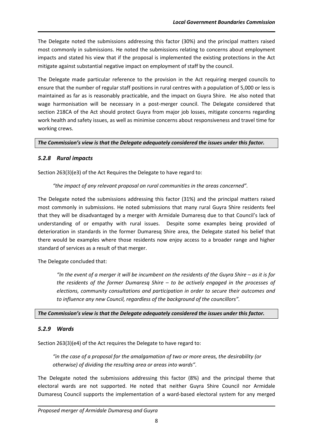The Delegate noted the submissions addressing this factor (30%) and the principal matters raised most commonly in submissions. He noted the submissions relating to concerns about employment impacts and stated his view that if the proposal is implemented the existing protections in the Act mitigate against substantial negative impact on employment of staff by the council.

The Delegate made particular reference to the provision in the Act requiring merged councils to ensure that the number of regular staff positions in rural centres with a population of 5,000 or less is maintained as far as is reasonably practicable, and the impact on Guyra Shire. He also noted that wage harmonisation will be necessary in a post-merger council. The Delegate considered that section 218CA of the Act should protect Guyra from major job losses, mitigate concerns regarding work health and safety issues, as well as minimise concerns about responsiveness and travel time for working crews.

*The Commission's view is that the Delegate adequately considered the issues under this factor.* 

## *5.2.8 Rural impacts*

Section 263(3)(e3) of the Act Requires the Delegate to have regard to:

#### *"the impact of any relevant proposal on rural communities in the areas concerned".*

The Delegate noted the submissions addressing this factor (31%) and the principal matters raised most commonly in submissions. He noted submissions that many rural Guyra Shire residents feel that they will be disadvantaged by a merger with Armidale Dumaresq due to that Council's lack of understanding of or empathy with rural issues. Despite some examples being provided of deterioration in standards in the former Dumaresq Shire area, the Delegate stated his belief that there would be examples where those residents now enjoy access to a broader range and higher standard of services as a result of that merger.

The Delegate concluded that:

*"*In the event of a merger it will be incumbent on the residents of the Guyra Shire – as it is for *the residents of the former Dumaresq Shire – to be actively engaged in the processes of elections, community consultations and participation in order to secure their outcomes and to influence any new Council, regardless of the background of the councillors".*

*The Commission's view is that the Delegate adequately considered the issues under this factor.* 

#### *5.2.9 Wards*

Section 263(3)(e4) of the Act requires the Delegate to have regard to:

*"in the case of a proposal for the amalgamation of two or more areas, the desirability (or otherwise) of dividing the resulting area or areas into wards".*

The Delegate noted the submissions addressing this factor (8%) and the principal theme that electoral wards are not supported. He noted that neither Guyra Shire Council nor Armidale Dumaresq Council supports the implementation of a ward-based electoral system for any merged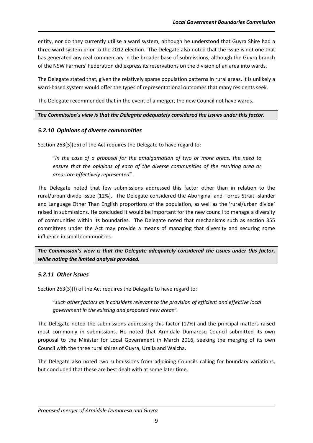entity, nor do they currently utilise a ward system, although he understood that Guyra Shire had a three ward system prior to the 2012 election. The Delegate also noted that the issue is not one that has generated any real commentary in the broader base of submissions, although the Guyra branch of the NSW Farmers' Federation did express its reservations on the division of an area into wards.

The Delegate stated that, given the relatively sparse population patterns in rural areas, it is unlikely a ward-based system would offer the types of representational outcomes that many residents seek.

The Delegate recommended that in the event of a merger, the new Council not have wards.

#### *The Commission's view is that the Delegate adequately considered the issues under this factor.*

#### *5.2.10 Opinions of diverse communities*

Section 263(3)(e5) of the Act requires the Delegate to have regard to:

*"in the case of a proposal for the amalgamation of two or more areas, the need to ensure that the opinions of each of the diverse communities of the resulting area or areas are effectively represented".*

The Delegate noted that few submissions addressed this factor other than in relation to the rural/urban divide issue (12%). The Delegate considered the Aboriginal and Torres Strait Islander and Language Other Than English proportions of the population, as well as the 'rural/urban divide' raised in submissions. He concluded it would be important for the new council to manage a diversity of communities within its boundaries. The Delegate noted that mechanisms such as section 355 committees under the Act may provide a means of managing that diversity and securing some influence in small communities.

*The Commission's view is that the Delegate adequately considered the issues under this factor, while noting the limited analysis provided.*

#### *5.2.11 Other issues*

Section 263(3)(f) of the Act requires the Delegate to have regard to:

*"such other factors as it considers relevant to the provision of efficient and effective local government in the existing and proposed new areas".*

The Delegate noted the submissions addressing this factor (17%) and the principal matters raised most commonly in submissions. He noted that Armidale Dumaresq Council submitted its own proposal to the Minister for Local Government in March 2016, seeking the merging of its own Council with the three rural shires of Guyra, Uralla and Walcha.

The Delegate also noted two submissions from adjoining Councils calling for boundary variations, but concluded that these are best dealt with at some later time.